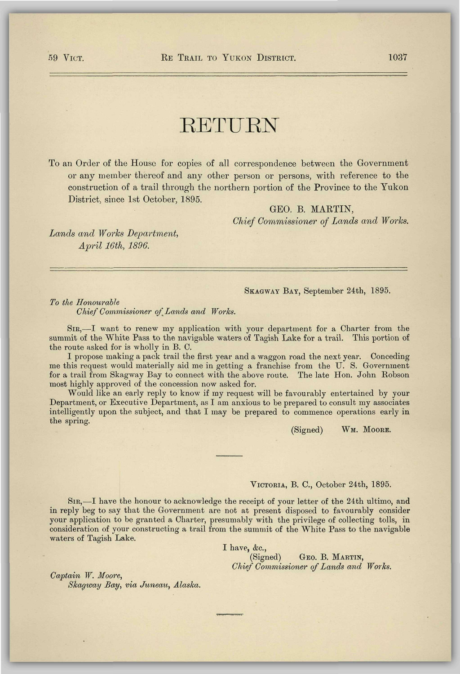# **RETURN**

To an Order of the House for copies of all correspondence between the Government or any member thereof and any other person or persons, with reference to the construction of a trail through the northern portion of the Province to the Yukon District, since 1st October, 1895.

GEO. B. MARTIN,

*Chief Commissioner of Lands and Works.* 

*Lands and Works Department, April 16th, 1896.* 

### SKAGWAY BAT, September 24th, 1895.

*To the Honourable* 

*Chief Commissioner of Lands and Works.* 

SIR,—I want to renew my application with your department for a Charter from the summit of the White Pass to the navigable waters of Tagish Lake for a trail. This portion of the route asked for is wholly in B. C.

I propose making a pack trail the first year and a waggon road the next year. Conceding me this request would materially aid me in getting a franchise from the U. S. Government for a trail from Skagway Bay to connect with the above route. The late Hon. John Robson most highly approved of the concession now asked for.

Would like an early reply to know if my request will be favourably entertained by your Department, or Executive Department, as I am anxious to be prepared to consult my associates intelligently upon the subject, and that I may be prepared to commence operations early in the spring.

(Signed) WM. MOORE.

## VICTORIA, B. C, October 24th, 1895.

SIR,—I have the honour to acknowledge the receipt of your letter of the 24th ultimo, and in reply beg to say that the Government are not at present disposed to favourably consider your application to be granted a Charter, presumably with the privilege of collecting tolls, in consideration of your constructing a trail from the summit of the White Pass to the navigable waters of Tagish Lake.

I have,  $\&c$ .

(Signed) GEO. B. MARTIN, *Chief Commissioner of Lands and Works.* 

*Captain W. Moore, Skagway Bay, via Juneau, Alaska.*